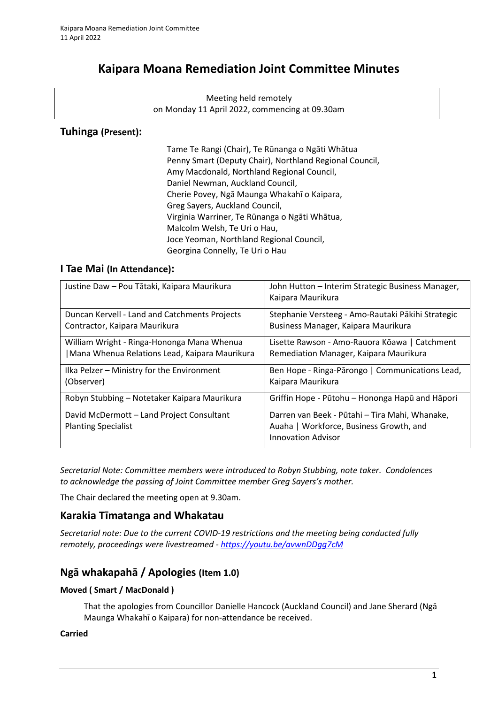# **Kaipara Moana Remediation Joint Committee Minutes**

Meeting held remotely on Monday 11 April 2022, commencing at 09.30am

## **Tuhinga (Present):**

Tame Te Rangi (Chair), Te Rūnanga o Ngāti Whātua Penny Smart (Deputy Chair), Northland Regional Council, Amy Macdonald, Northland Regional Council, Daniel Newman, Auckland Council, Cherie Povey, Ngā Maunga Whakahī o Kaipara, Greg Sayers, Auckland Council, Virginia Warriner, Te Rūnanga o Ngāti Whātua, Malcolm Welsh, Te Uri o Hau, Joce Yeoman, Northland Regional Council, Georgina Connelly, Te Uri o Hau

### **I Tae Mai (In Attendance):**

| Justine Daw - Pou Tātaki, Kaipara Maurikura                             | John Hutton - Interim Strategic Business Manager,<br>Kaipara Maurikura                                                 |
|-------------------------------------------------------------------------|------------------------------------------------------------------------------------------------------------------------|
| Duncan Kervell - Land and Catchments Projects                           | Stephanie Versteeg - Amo-Rautaki Pākihi Strategic                                                                      |
| Contractor, Kaipara Maurikura                                           | Business Manager, Kaipara Maurikura                                                                                    |
| William Wright - Ringa-Hononga Mana Whenua                              | Lisette Rawson - Amo-Rauora Kōawa   Catchment                                                                          |
| Mana Whenua Relations Lead, Kaipara Maurikura                           | Remediation Manager, Kaipara Maurikura                                                                                 |
| Ilka Pelzer - Ministry for the Environment                              | Ben Hope - Ringa-Pārongo   Communications Lead,                                                                        |
| (Observer)                                                              | Kaipara Maurikura                                                                                                      |
| Robyn Stubbing – Notetaker Kaipara Maurikura                            | Griffin Hope - Pūtohu – Hononga Hapū and Hāpori                                                                        |
| David McDermott - Land Project Consultant<br><b>Planting Specialist</b> | Darren van Beek - Pūtahi - Tira Mahi, Whanake,<br>Auaha   Workforce, Business Growth, and<br><b>Innovation Advisor</b> |

*Secretarial Note: Committee members were introduced to Robyn Stubbing, note taker. Condolences to acknowledge the passing of Joint Committee member Greg Sayers's mother.*

The Chair declared the meeting open at 9.30am.

# **Karakia Tīmatanga and Whakatau**

*Secretarial note: Due to the current COVID-19 restrictions and the meeting being conducted fully remotely, proceedings were livestreamed - <https://youtu.be/avwnDDgg7cM>*

# **Ngā whakapahā / Apologies (Item 1.0)**

#### **Moved ( Smart / MacDonald )**

That the apologies from Councillor Danielle Hancock (Auckland Council) and Jane Sherard (Ngā Maunga Whakahī o Kaipara) for non-attendance be received.

#### **Carried**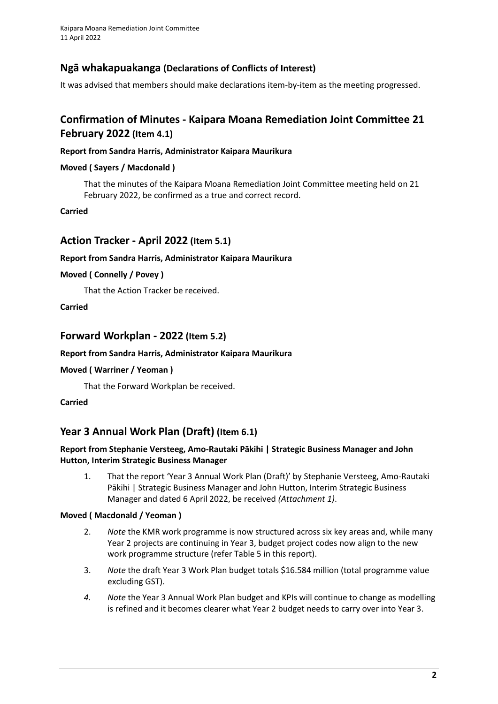# **Ngā whakapuakanga (Declarations of Conflicts of Interest)**

It was advised that members should make declarations item-by-item as the meeting progressed.

# **Confirmation of Minutes - Kaipara Moana Remediation Joint Committee 21 February 2022 (Item 4.1)**

#### **Report from Sandra Harris, Administrator Kaipara Maurikura**

#### **Moved ( Sayers / Macdonald )**

That the minutes of the Kaipara Moana Remediation Joint Committee meeting held on 21 February 2022, be confirmed as a true and correct record.

**Carried**

## **Action Tracker - April 2022 (Item 5.1)**

#### **Report from Sandra Harris, Administrator Kaipara Maurikura**

#### **Moved ( Connelly / Povey )**

That the Action Tracker be received.

#### **Carried**

## **Forward Workplan - 2022 (Item 5.2)**

#### **Report from Sandra Harris, Administrator Kaipara Maurikura**

#### **Moved ( Warriner / Yeoman )**

That the Forward Workplan be received.

#### **Carried**

# **Year 3 Annual Work Plan (Draft) (Item 6.1)**

#### **Report from Stephanie Versteeg, Amo-Rautaki Pākihi | Strategic Business Manager and John Hutton, Interim Strategic Business Manager**

1. That the report 'Year 3 Annual Work Plan (Draft)' by Stephanie Versteeg, Amo-Rautaki Pākihi | Strategic Business Manager and John Hutton, Interim Strategic Business Manager and dated 6 April 2022, be received *(Attachment 1)*.

#### **Moved ( Macdonald / Yeoman )**

- 2. *Note* the KMR work programme is now structured across six key areas and, while many Year 2 projects are continuing in Year 3, budget project codes now align to the new work programme structure (refer Table 5 in this report).
- 3. *Note* the draft Year 3 Work Plan budget totals \$16.584 million (total programme value excluding GST).
- *4. Note* the Year 3 Annual Work Plan budget and KPIs will continue to change as modelling is refined and it becomes clearer what Year 2 budget needs to carry over into Year 3.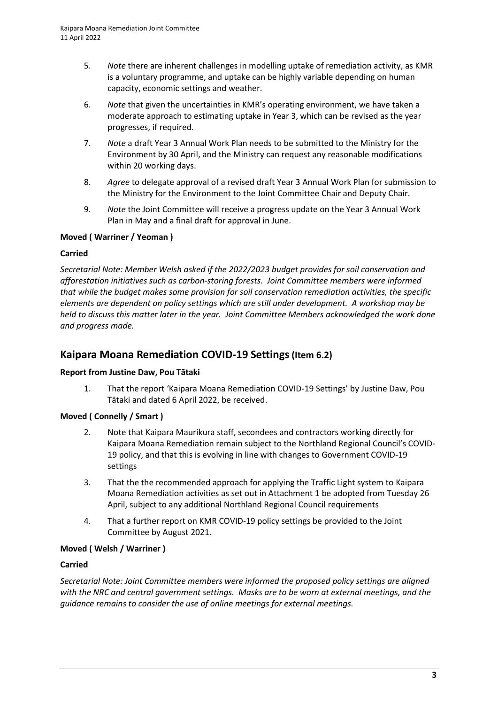- 5. *Note* there are inherent challenges in modelling uptake of remediation activity, as KMR is a voluntary programme, and uptake can be highly variable depending on human capacity, economic settings and weather.
- 6. *Note* that given the uncertainties in KMR's operating environment, we have taken a moderate approach to estimating uptake in Year 3, which can be revised as the year progresses, if required.
- 7. *Note* a draft Year 3 Annual Work Plan needs to be submitted to the Ministry for the Environment by 30 April, and the Ministry can request any reasonable modifications within 20 working days.
- 8. *Agree* to delegate approval of a revised draft Year 3 Annual Work Plan for submission to the Ministry for the Environment to the Joint Committee Chair and Deputy Chair.
- 9. *Note* the Joint Committee will receive a progress update on the Year 3 Annual Work Plan in May and a final draft for approval in June.

#### **Moved ( Warriner / Yeoman )**

#### **Carried**

*Secretarial Note: Member Welsh asked if the 2022/2023 budget provides for soil conservation and afforestation initiatives such as carbon-storing forests. Joint Committee members were informed that while the budget makes some provision for soil conservation remediation activities, the specific elements are dependent on policy settings which are still under development. A workshop may be held to discuss this matter later in the year. Joint Committee Members acknowledged the work done and progress made.*

### **Kaipara Moana Remediation COVID-19 Settings(Item 6.2)**

#### **Report from Justine Daw, Pou Tātaki**

1. That the report 'Kaipara Moana Remediation COVID-19 Settings' by Justine Daw, Pou Tātaki and dated 6 April 2022, be received.

#### **Moved ( Connelly / Smart )**

- 2. Note that Kaipara Maurikura staff, secondees and contractors working directly for Kaipara Moana Remediation remain subject to the Northland Regional Council's COVID-19 policy, and that this is evolving in line with changes to Government COVID-19 settings
- 3. That the the recommended approach for applying the Traffic Light system to Kaipara Moana Remediation activities as set out in Attachment 1 be adopted from Tuesday 26 April, subject to any additional Northland Regional Council requirements
- 4. That a further report on KMR COVID-19 policy settings be provided to the Joint Committee by August 2021.

#### **Moved ( Welsh / Warriner )**

#### **Carried**

*Secretarial Note: Joint Committee members were informed the proposed policy settings are aligned with the NRC and central government settings. Masks are to be worn at external meetings, and the guidance remains to consider the use of online meetings for external meetings.*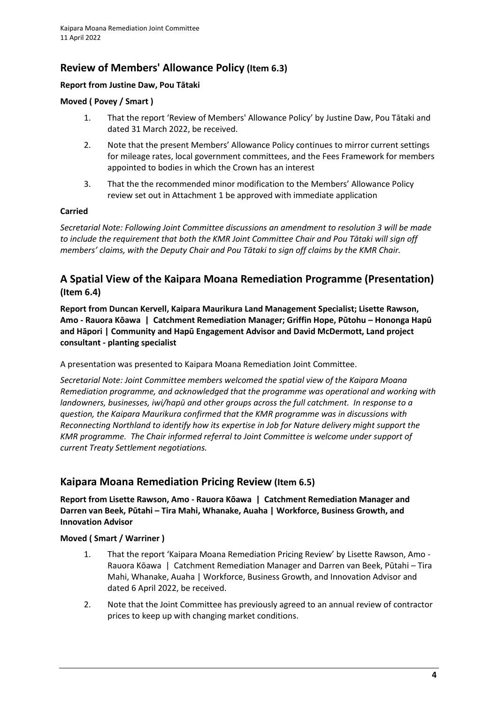# **Review of Members' Allowance Policy (Item 6.3)**

#### **Report from Justine Daw, Pou Tātaki**

#### **Moved ( Povey / Smart )**

- 1. That the report 'Review of Members' Allowance Policy' by Justine Daw, Pou Tātaki and dated 31 March 2022, be received.
- 2. Note that the present Members' Allowance Policy continues to mirror current settings for mileage rates, local government committees, and the Fees Framework for members appointed to bodies in which the Crown has an interest
- 3. That the the recommended minor modification to the Members' Allowance Policy review set out in Attachment 1 be approved with immediate application

#### **Carried**

*Secretarial Note: Following Joint Committee discussions an amendment to resolution 3 will be made to include the requirement that both the KMR Joint Committee Chair and Pou Tātaki will sign off members' claims, with the Deputy Chair and Pou Tātaki to sign off claims by the KMR Chair.* 

# **A Spatial View of the Kaipara Moana Remediation Programme (Presentation) (Item 6.4)**

**Report from Duncan Kervell, Kaipara Maurikura Land Management Specialist; Lisette Rawson, Amo - Rauora Kōawa | Catchment Remediation Manager; Griffin Hope, Pūtohu – Hononga Hapū and Hāpori | Community and Hapū Engagement Advisor and David McDermott, Land project consultant - planting specialist**

A presentation was presented to Kaipara Moana Remediation Joint Committee.

*Secretarial Note: Joint Committee members welcomed the spatial view of the Kaipara Moana Remediation programme, and acknowledged that the programme was operational and working with landowners, businesses, iwi/hapū and other groups across the full catchment. In response to a question, the Kaipara Maurikura confirmed that the KMR programme was in discussions with Reconnecting Northland to identify how its expertise in Job for Nature delivery might support the KMR programme. The Chair informed referral to Joint Committee is welcome under support of current Treaty Settlement negotiations.*

# **Kaipara Moana Remediation Pricing Review (Item 6.5)**

**Report from Lisette Rawson, Amo - Rauora Kōawa | Catchment Remediation Manager and Darren van Beek, Pūtahi – Tira Mahi, Whanake, Auaha | Workforce, Business Growth, and Innovation Advisor**

### **Moved ( Smart / Warriner )**

- 1. That the report 'Kaipara Moana Remediation Pricing Review' by Lisette Rawson, Amo Rauora Kōawa | Catchment Remediation Manager and Darren van Beek, Pūtahi – Tira Mahi, Whanake, Auaha | Workforce, Business Growth, and Innovation Advisor and dated 6 April 2022, be received.
- 2. Note that the Joint Committee has previously agreed to an annual review of contractor prices to keep up with changing market conditions.